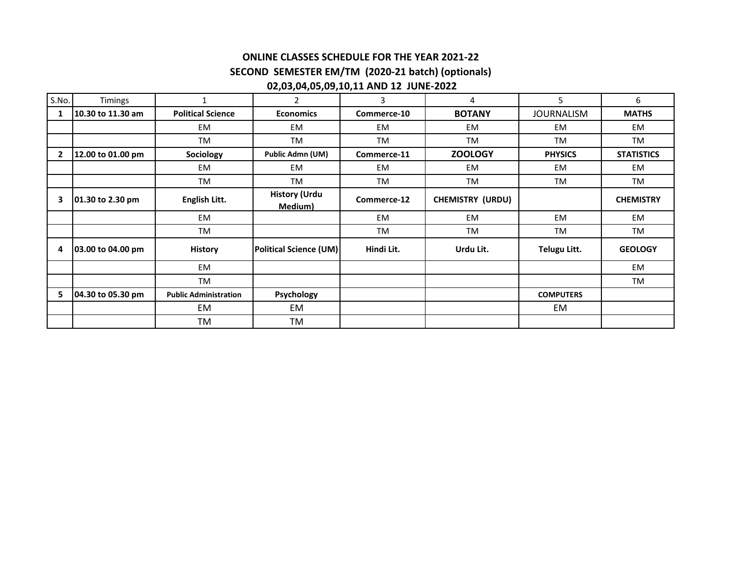## **ONLINE CLASSES SCHEDULE FOR THE YEAR 2021-22 SECOND SEMESTER EM/TM (2020-21 batch) (optionals) 02,03,04,05,09,10,11 AND 12 JUNE-2022**

| S.No.          | Timings           | 1                            | $\overline{2}$                  | 3           | 4                       | 5                 | 6                 |
|----------------|-------------------|------------------------------|---------------------------------|-------------|-------------------------|-------------------|-------------------|
|                | 10.30 to 11.30 am | <b>Political Science</b>     | <b>Economics</b>                | Commerce-10 | <b>BOTANY</b>           | <b>JOURNALISM</b> | <b>MATHS</b>      |
|                |                   | EM                           | EM                              | <b>EM</b>   | EM                      | EM                | EM.               |
|                |                   | <b>TM</b>                    | <b>TM</b>                       | TM          | TM                      | TM                | TM                |
| $\overline{2}$ | 12.00 to 01.00 pm | Sociology                    | Public Admn (UM)                | Commerce-11 | <b>ZOOLOGY</b>          | <b>PHYSICS</b>    | <b>STATISTICS</b> |
|                |                   | <b>EM</b>                    | EM                              | <b>EM</b>   | EM                      | EM                | EM                |
|                |                   | <b>TM</b>                    | TM                              | <b>TM</b>   | TM                      | <b>TM</b>         | TM                |
| 3              | 01.30 to 2.30 pm  | English Litt.                | <b>History (Urdu</b><br>Medium) | Commerce-12 | <b>CHEMISTRY (URDU)</b> |                   | <b>CHEMISTRY</b>  |
|                |                   | <b>EM</b>                    |                                 | <b>EM</b>   | EM                      | EM                | EM                |
|                |                   | TM                           |                                 | TM          | TM                      | TM                | TM                |
| 4              | 03.00 to 04.00 pm | <b>History</b>               | <b>Political Science (UM)</b>   | Hindi Lit.  | Urdu Lit.               | Telugu Litt.      | <b>GEOLOGY</b>    |
|                |                   | EM                           |                                 |             |                         |                   | EM                |
|                |                   | <b>TM</b>                    |                                 |             |                         |                   | TM                |
| 5.             | 04.30 to 05.30 pm | <b>Public Administration</b> | Psychology                      |             |                         | <b>COMPUTERS</b>  |                   |
|                |                   | EM                           | EM                              |             |                         | EM                |                   |
|                |                   | TM                           | TM                              |             |                         |                   |                   |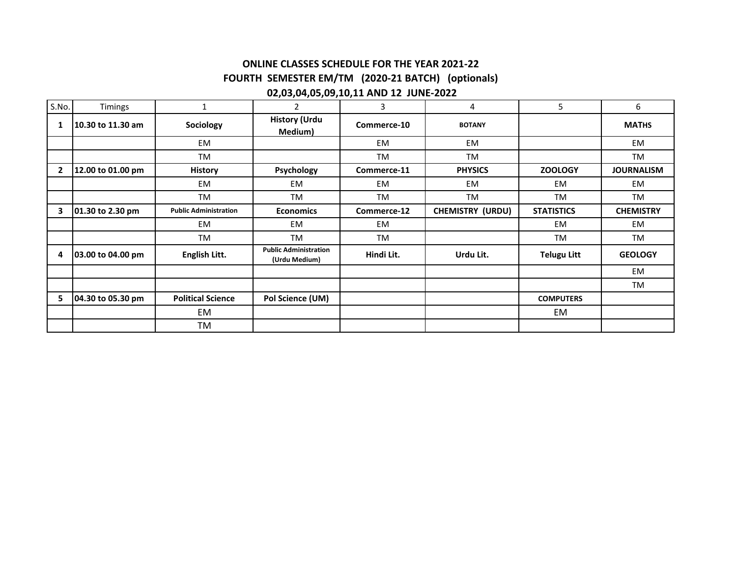# **ONLINE CLASSES SCHEDULE FOR THE YEAR 2021-22 FOURTH SEMESTER EM/TM (2020-21 BATCH) (optionals)**

#### **02,03,04,05,09,10,11 AND 12 JUNE-2022**

| S.No.        | Timings           | $\mathbf{1}$                 | $\overline{2}$                                | 3           | 4                       | 5                  | 6                 |
|--------------|-------------------|------------------------------|-----------------------------------------------|-------------|-------------------------|--------------------|-------------------|
| 1            | 10.30 to 11.30 am | Sociology                    | <b>History (Urdu</b><br>Medium)               | Commerce-10 | <b>BOTANY</b>           |                    | <b>MATHS</b>      |
|              |                   | <b>EM</b>                    |                                               | EM          | EM                      |                    | EM                |
|              |                   | <b>TM</b>                    |                                               | <b>TM</b>   | TM                      |                    | <b>TM</b>         |
| $\mathbf{2}$ | 12.00 to 01.00 pm | <b>History</b>               | Psychology                                    | Commerce-11 | <b>PHYSICS</b>          | <b>ZOOLOGY</b>     | <b>JOURNALISM</b> |
|              |                   | EM                           | <b>EM</b>                                     | EM          | EM                      | EM                 | EM                |
|              |                   | TM                           | TM                                            | <b>TM</b>   | TM                      | <b>TM</b>          | <b>TM</b>         |
| 3            | 01.30 to 2.30 pm  | <b>Public Administration</b> | <b>Economics</b>                              | Commerce-12 | <b>CHEMISTRY (URDU)</b> | <b>STATISTICS</b>  | <b>CHEMISTRY</b>  |
|              |                   | EM                           | <b>EM</b>                                     | EM          |                         | EM                 | EM                |
|              |                   | <b>TM</b>                    | TM                                            | TM          |                         | TM                 | TM                |
| 4            | 03.00 to 04.00 pm | English Litt.                | <b>Public Administration</b><br>(Urdu Medium) | Hindi Lit.  | Urdu Lit.               | <b>Telugu Litt</b> | <b>GEOLOGY</b>    |
|              |                   |                              |                                               |             |                         |                    | EM                |
|              |                   |                              |                                               |             |                         |                    | TM                |
| 5            | 04.30 to 05.30 pm | <b>Political Science</b>     | Pol Science (UM)                              |             |                         | <b>COMPUTERS</b>   |                   |
|              |                   | EM                           |                                               |             |                         | EM                 |                   |
|              |                   | TM                           |                                               |             |                         |                    |                   |